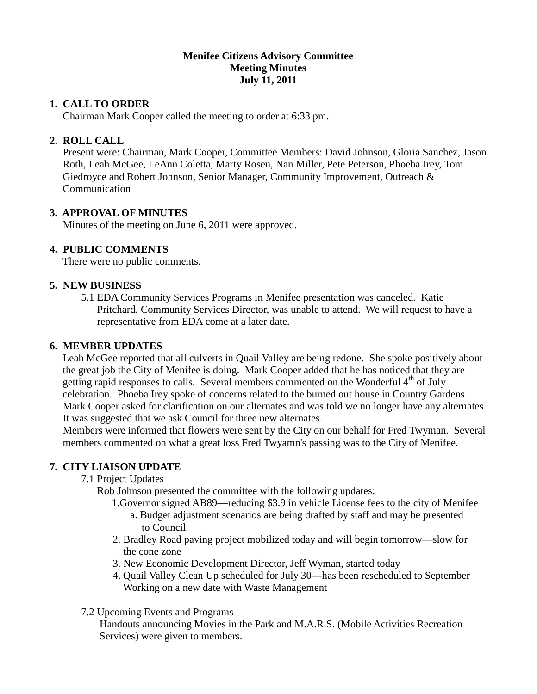#### **Menifee Citizens Advisory Committee Meeting Minutes July 11, 2011**

#### **1. CALL TO ORDER**

Chairman Mark Cooper called the meeting to order at 6:33 pm.

### **2. ROLL CALL**

 Present were: Chairman, Mark Cooper, Committee Members: David Johnson, Gloria Sanchez, Jason Roth, Leah McGee, LeAnn Coletta, Marty Rosen, Nan Miller, Pete Peterson, Phoeba Irey, Tom Giedroyce and Robert Johnson, Senior Manager, Community Improvement, Outreach & **Communication** 

### **3. APPROVAL OF MINUTES**

Minutes of the meeting on June 6, 2011 were approved.

#### **4. PUBLIC COMMENTS**

There were no public comments.

#### **5. NEW BUSINESS**

5.1 EDA Community Services Programs in Menifee presentation was canceled. Katie Pritchard, Community Services Director, was unable to attend. We will request to have a representative from EDA come at a later date.

#### **6. MEMBER UPDATES**

 Leah McGee reported that all culverts in Quail Valley are being redone. She spoke positively about the great job the City of Menifee is doing. Mark Cooper added that he has noticed that they are getting rapid responses to calls. Several members commented on the Wonderful 4<sup>th</sup> of July celebration. Phoeba Irey spoke of concerns related to the burned out house in Country Gardens. Mark Cooper asked for clarification on our alternates and was told we no longer have any alternates. It was suggested that we ask Council for three new alternates.

 Members were informed that flowers were sent by the City on our behalf for Fred Twyman. Several members commented on what a great loss Fred Twyamn's passing was to the City of Menifee.

#### **7. CITY LIAISON UPDATE**

- 7.1 Project Updates
	- Rob Johnson presented the committee with the following updates:
		- 1.Governor signed AB89—reducing \$3.9 in vehicle License fees to the city of Menifee a. Budget adjustment scenarios are being drafted by staff and may be presented to Council
		- 2. Bradley Road paving project mobilized today and will begin tomorrow—slow for the cone zone
		- 3. New Economic Development Director, Jeff Wyman, started today
		- 4. Quail Valley Clean Up scheduled for July 30—has been rescheduled to September Working on a new date with Waste Management
- 7.2 Upcoming Events and Programs

 Handouts announcing Movies in the Park and M.A.R.S. (Mobile Activities Recreation Services) were given to members.